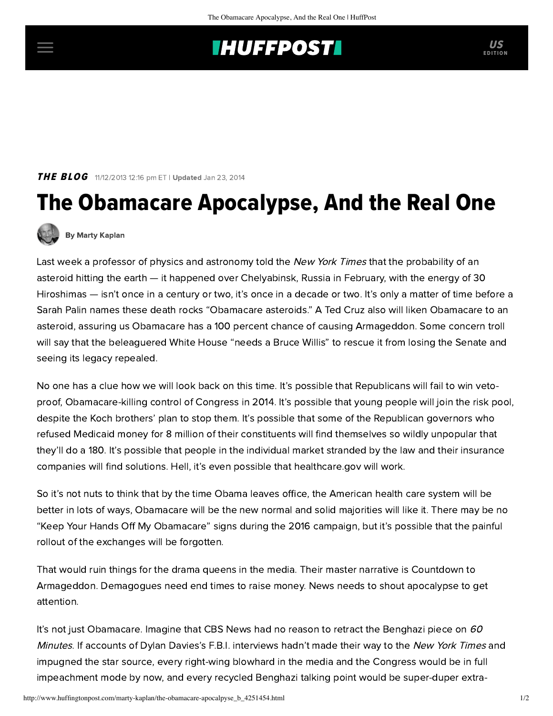## **INUFFPOST**

THE BLOG 11/12/2013 12:16 pm ET | Updated Jan 23, 2014

## The Obamacare Apocalypse, And the Real One



[By Marty Kaplan](http://www.huffingtonpost.com/author/marty-kaplan)

Last week a professor of physics and astronomy [told](http://www.nytimes.com/2013/11/07/science/space/more-large-asteroid-strikes-are-likely-scientists-find.html) the New York Times that the probability of an asteroid hitting the earth — it happened over Chelyabinsk, Russia in February, with the energy of 30 Hiroshimas — isn't once in a century or two, it's once in a decade or two. It's only a matter of time before a Sarah Palin names these death rocks "Obamacare asteroids." A Ted Cruz also will liken Obamacare to an asteroid, assuring us Obamacare has a 100 percent chance of causing Armageddon. Some concern troll will say that the beleaguered White House "needs a Bruce Willis" to rescue it from losing the Senate and seeing its legacy repealed.

No one has a clue how we will look back on this time. It's possible that Republicans will fail to win vetoproof, Obamacare-killing control of Congress in 2014. It's possible that young people will join the risk pool, despite the [Koch brothers' plan](http://www.jewishjournal.com/marty_kaplan/article/this_creepy_ad_can_kill_you) to stop them. It's possible that some of the Republican governors who refused Medicaid money for 8 million of their constituents will find themselves so wildly unpopular that they'll do a 180. It's possible that people in the individual market stranded by the law and their insurance companies will find solutions. Hell, it's even possible that healthcare.gov will work.

So it's not nuts to think that by the time Obama leaves office, the American health care system will be better in lots of ways, Obamacare will be the new normal and solid majorities will like it. There may be no "Keep Your Hands Off My Obamacare" signs during the 2016 campaign, but it's possible that the painful rollout of the exchanges will be forgotten.

That would ruin things for the drama queens in the media. Their master narrative is Countdown to Armageddon. Demagogues need end times to raise money. News needs to shout apocalypse to get attention.

It's not just Obamacare. Imagine that CBS News had no reason to retract the Benghazi piece on  $60$ Minutes. If accounts of Dylan Davies's F.B.I. interviews hadn't made their way to the [New York](http://www.nytimes.com/2013/11/08/business/media/accounts-differ-to-fbi-and-cbs-on-benghazi.html?_r=1&) Times and impugned the star source, every right-wing blowhard in the media and the Congress would be in full impeachment mode by now, and every recycled Benghazi talking point would be super-duper extra